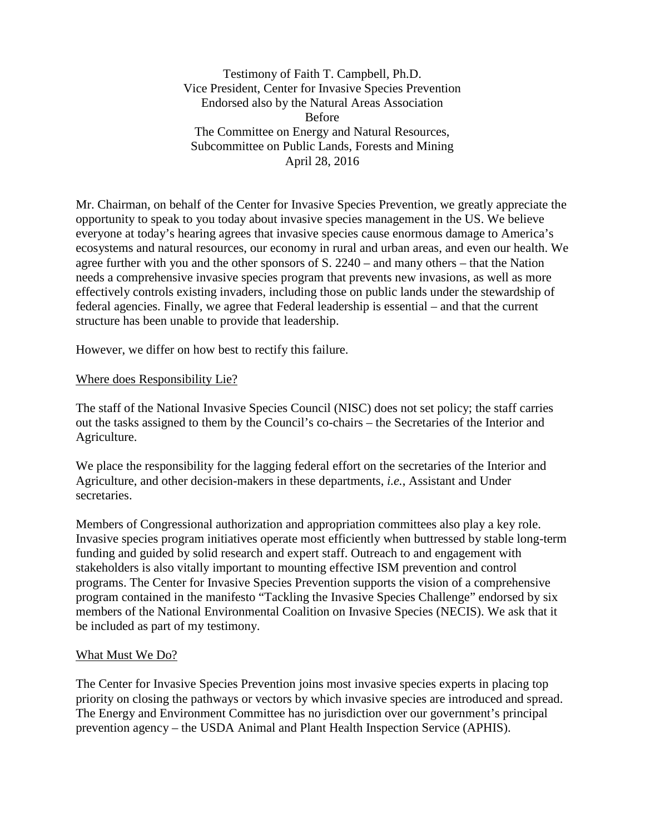Testimony of Faith T. Campbell, Ph.D. Vice President, Center for Invasive Species Prevention Endorsed also by the Natural Areas Association Before The Committee on Energy and Natural Resources, Subcommittee on Public Lands, Forests and Mining April 28, 2016

Mr. Chairman, on behalf of the Center for Invasive Species Prevention, we greatly appreciate the opportunity to speak to you today about invasive species management in the US. We believe everyone at today's hearing agrees that invasive species cause enormous damage to America's ecosystems and natural resources, our economy in rural and urban areas, and even our health. We agree further with you and the other sponsors of S. 2240 – and many others – that the Nation needs a comprehensive invasive species program that prevents new invasions, as well as more effectively controls existing invaders, including those on public lands under the stewardship of federal agencies. Finally, we agree that Federal leadership is essential – and that the current structure has been unable to provide that leadership.

However, we differ on how best to rectify this failure.

### Where does Responsibility Lie?

The staff of the National Invasive Species Council (NISC) does not set policy; the staff carries out the tasks assigned to them by the Council's co-chairs – the Secretaries of the Interior and Agriculture.

We place the responsibility for the lagging federal effort on the secretaries of the Interior and Agriculture, and other decision-makers in these departments, *i.e.*, Assistant and Under secretaries.

Members of Congressional authorization and appropriation committees also play a key role. Invasive species program initiatives operate most efficiently when buttressed by stable long-term funding and guided by solid research and expert staff. Outreach to and engagement with stakeholders is also vitally important to mounting effective ISM prevention and control programs. The Center for Invasive Species Prevention supports the vision of a comprehensive program contained in the manifesto "Tackling the Invasive Species Challenge" endorsed by six members of the National Environmental Coalition on Invasive Species (NECIS). We ask that it be included as part of my testimony.

#### What Must We Do?

The Center for Invasive Species Prevention joins most invasive species experts in placing top priority on closing the pathways or vectors by which invasive species are introduced and spread. The Energy and Environment Committee has no jurisdiction over our government's principal prevention agency – the USDA Animal and Plant Health Inspection Service (APHIS).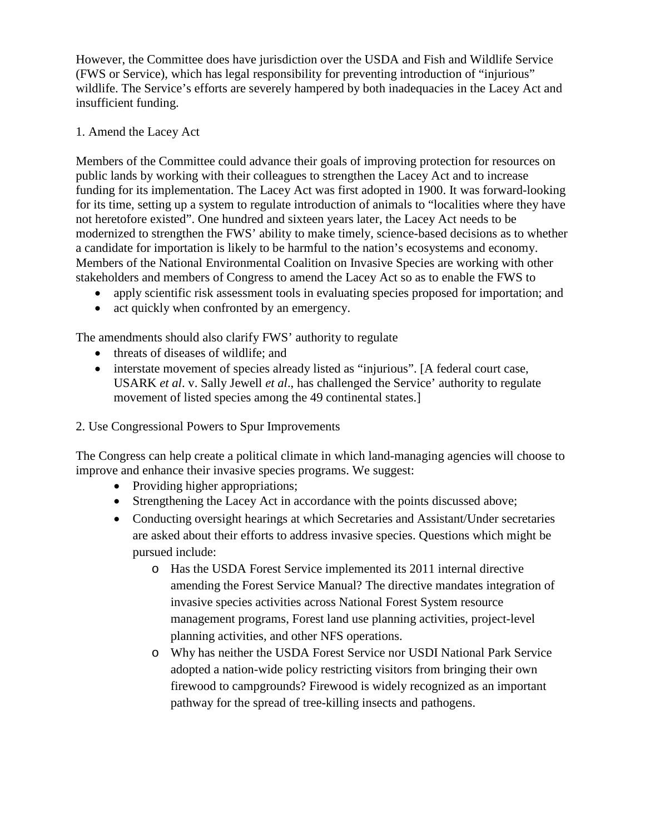However, the Committee does have jurisdiction over the USDA and Fish and Wildlife Service (FWS or Service), which has legal responsibility for preventing introduction of "injurious" wildlife. The Service's efforts are severely hampered by both inadequacies in the Lacey Act and insufficient funding.

### 1. Amend the Lacey Act

Members of the Committee could advance their goals of improving protection for resources on public lands by working with their colleagues to strengthen the Lacey Act and to increase funding for its implementation. The Lacey Act was first adopted in 1900. It was forward-looking for its time, setting up a system to regulate introduction of animals to "localities where they have not heretofore existed". One hundred and sixteen years later, the Lacey Act needs to be modernized to strengthen the FWS' ability to make timely, science-based decisions as to whether a candidate for importation is likely to be harmful to the nation's ecosystems and economy. Members of the National Environmental Coalition on Invasive Species are working with other stakeholders and members of Congress to amend the Lacey Act so as to enable the FWS to

- apply scientific risk assessment tools in evaluating species proposed for importation; and
- act quickly when confronted by an emergency.

The amendments should also clarify FWS' authority to regulate

- threats of diseases of wildlife; and
- interstate movement of species already listed as "injurious". [A federal court case, USARK *et al*. v. Sally Jewell *et al*., has challenged the Service' authority to regulate movement of listed species among the 49 continental states.
- 2. Use Congressional Powers to Spur Improvements

The Congress can help create a political climate in which land-managing agencies will choose to improve and enhance their invasive species programs. We suggest:

- Providing higher appropriations;
- Strengthening the Lacey Act in accordance with the points discussed above;
- Conducting oversight hearings at which Secretaries and Assistant/Under secretaries are asked about their efforts to address invasive species. Questions which might be pursued include:
	- o Has the USDA Forest Service implemented its 2011 internal directive amending the Forest Service Manual? The directive mandates integration of invasive species activities across National Forest System resource management programs, Forest land use planning activities, project-level planning activities, and other NFS operations.
	- o Why has neither the USDA Forest Service nor USDI National Park Service adopted a nation-wide policy restricting visitors from bringing their own firewood to campgrounds? Firewood is widely recognized as an important pathway for the spread of tree-killing insects and pathogens.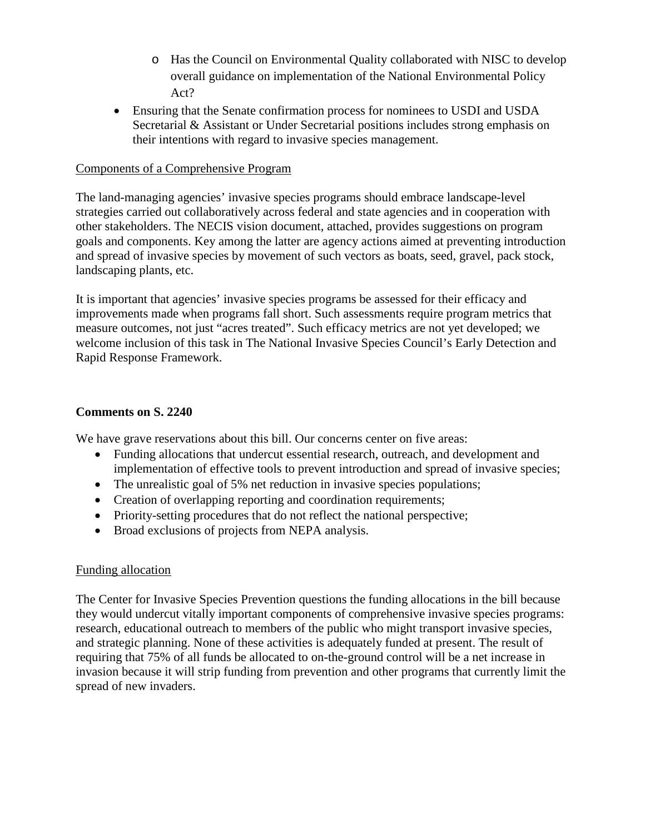- o Has the Council on Environmental Quality collaborated with NISC to develop overall guidance on implementation of the National Environmental Policy Act?
- Ensuring that the Senate confirmation process for nominees to USDI and USDA Secretarial & Assistant or Under Secretarial positions includes strong emphasis on their intentions with regard to invasive species management.

### Components of a Comprehensive Program

The land-managing agencies' invasive species programs should embrace landscape-level strategies carried out collaboratively across federal and state agencies and in cooperation with other stakeholders. The NECIS vision document, attached, provides suggestions on program goals and components. Key among the latter are agency actions aimed at preventing introduction and spread of invasive species by movement of such vectors as boats, seed, gravel, pack stock, landscaping plants, etc.

It is important that agencies' invasive species programs be assessed for their efficacy and improvements made when programs fall short. Such assessments require program metrics that measure outcomes, not just "acres treated". Such efficacy metrics are not yet developed; we welcome inclusion of this task in The National Invasive Species Council's Early Detection and Rapid Response Framework.

### **Comments on S. 2240**

We have grave reservations about this bill. Our concerns center on five areas:

- Funding allocations that undercut essential research, outreach, and development and implementation of effective tools to prevent introduction and spread of invasive species;
- The unrealistic goal of 5% net reduction in invasive species populations;
- Creation of overlapping reporting and coordination requirements;
- Priority-setting procedures that do not reflect the national perspective;
- Broad exclusions of projects from NEPA analysis.

# Funding allocation

The Center for Invasive Species Prevention questions the funding allocations in the bill because they would undercut vitally important components of comprehensive invasive species programs: research, educational outreach to members of the public who might transport invasive species, and strategic planning. None of these activities is adequately funded at present. The result of requiring that 75% of all funds be allocated to on-the-ground control will be a net increase in invasion because it will strip funding from prevention and other programs that currently limit the spread of new invaders.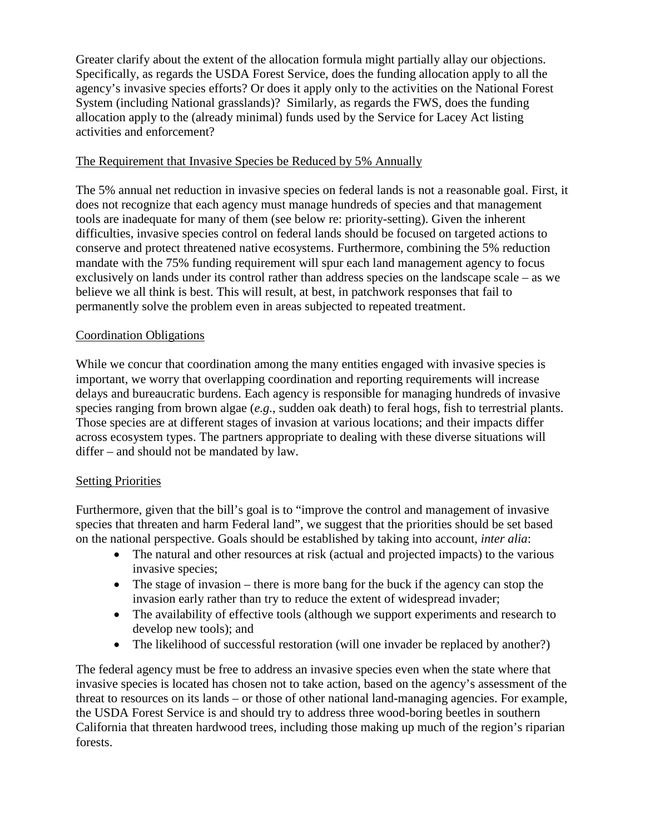Greater clarify about the extent of the allocation formula might partially allay our objections. Specifically, as regards the USDA Forest Service, does the funding allocation apply to all the agency's invasive species efforts? Or does it apply only to the activities on the National Forest System (including National grasslands)? Similarly, as regards the FWS, does the funding allocation apply to the (already minimal) funds used by the Service for Lacey Act listing activities and enforcement?

# The Requirement that Invasive Species be Reduced by 5% Annually

The 5% annual net reduction in invasive species on federal lands is not a reasonable goal. First, it does not recognize that each agency must manage hundreds of species and that management tools are inadequate for many of them (see below re: priority-setting). Given the inherent difficulties, invasive species control on federal lands should be focused on targeted actions to conserve and protect threatened native ecosystems. Furthermore, combining the 5% reduction mandate with the 75% funding requirement will spur each land management agency to focus exclusively on lands under its control rather than address species on the landscape scale – as we believe we all think is best. This will result, at best, in patchwork responses that fail to permanently solve the problem even in areas subjected to repeated treatment.

### Coordination Obligations

While we concur that coordination among the many entities engaged with invasive species is important, we worry that overlapping coordination and reporting requirements will increase delays and bureaucratic burdens. Each agency is responsible for managing hundreds of invasive species ranging from brown algae (*e.g.*, sudden oak death) to feral hogs, fish to terrestrial plants. Those species are at different stages of invasion at various locations; and their impacts differ across ecosystem types. The partners appropriate to dealing with these diverse situations will differ – and should not be mandated by law.

# **Setting Priorities**

Furthermore, given that the bill's goal is to "improve the control and management of invasive species that threaten and harm Federal land", we suggest that the priorities should be set based on the national perspective. Goals should be established by taking into account, *inter alia*:

- The natural and other resources at risk (actual and projected impacts) to the various invasive species;
- The stage of invasion there is more bang for the buck if the agency can stop the invasion early rather than try to reduce the extent of widespread invader;
- The availability of effective tools (although we support experiments and research to develop new tools); and
- The likelihood of successful restoration (will one invader be replaced by another?)

The federal agency must be free to address an invasive species even when the state where that invasive species is located has chosen not to take action, based on the agency's assessment of the threat to resources on its lands – or those of other national land-managing agencies. For example, the USDA Forest Service is and should try to address three wood-boring beetles in southern California that threaten hardwood trees, including those making up much of the region's riparian forests.